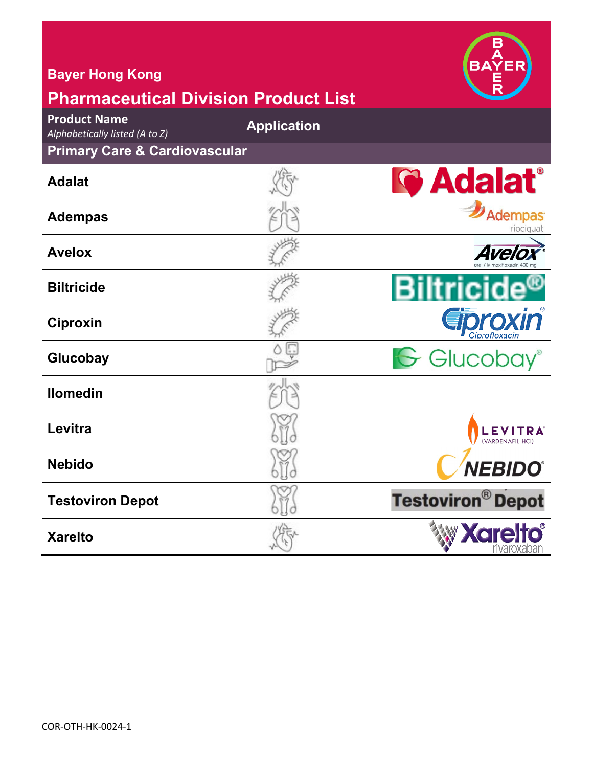| <b>Bayer Hong Kong</b><br><b>Pharmaceutical Division Product List</b> |                    |                                    |
|-----------------------------------------------------------------------|--------------------|------------------------------------|
| <b>Product Name</b><br>Alphabetically listed (A to Z)                 | <b>Application</b> |                                    |
| <b>Primary Care &amp; Cardiovascular</b>                              |                    |                                    |
| <b>Adalat</b>                                                         |                    | <b>G</b> Adalat <sup>®</sup>       |
| <b>Adempas</b>                                                        |                    | <b>Adempas</b><br>riociguat        |
| <b>Avelox</b>                                                         |                    | <b>Ave</b>                         |
| <b>Biltricide</b>                                                     |                    |                                    |
| <b>Ciproxin</b>                                                       |                    | roxın                              |
| Glucobay                                                              |                    | G Glucobay®                        |
| <b>Ilomedin</b>                                                       |                    |                                    |
| Levitra                                                               |                    | <b>LEVITRA</b><br>(VARDENAFIL HCI) |
| <b>Nebido</b>                                                         |                    | <b>NEBIDO®</b>                     |
| <b>Testoviron Depot</b>                                               |                    | <b>Testoviron® Depot</b>           |
| <b>Xarelto</b>                                                        |                    | <b>Xare</b>                        |

**ARA**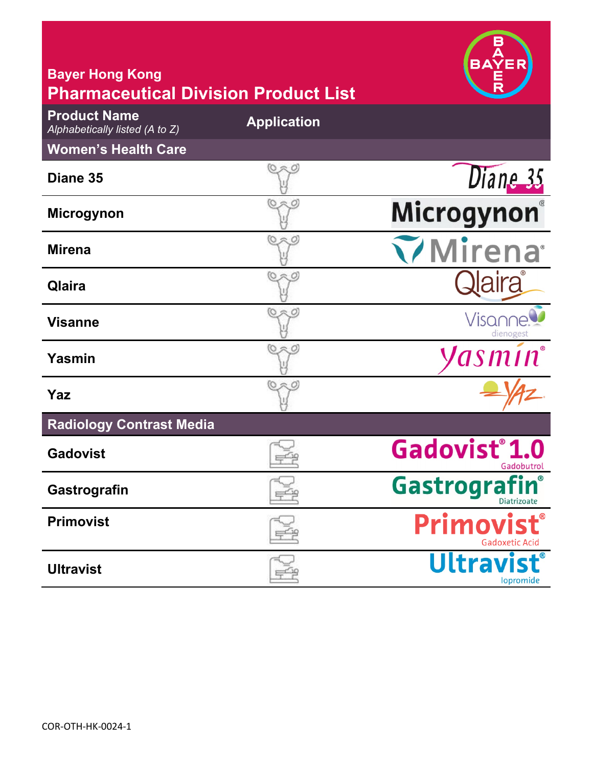| <b>Bayer Hong Kong</b>                                                                               |                    | BΔ                                      |
|------------------------------------------------------------------------------------------------------|--------------------|-----------------------------------------|
| <b>Pharmaceutical Division Product List</b><br><b>Product Name</b><br>Alphabetically listed (A to Z) | <b>Application</b> |                                         |
| <b>Women's Health Care</b>                                                                           |                    |                                         |
| Diane 35                                                                                             |                    | Diane 35                                |
| <b>Microgynon</b>                                                                                    |                    | Microgynon®                             |
| <b>Mirena</b>                                                                                        | ペ<br>O             | <b>Mirena</b>                           |
| Qlaira                                                                                               | <b>O 未</b>         |                                         |
| <b>Visanne</b>                                                                                       |                    | Visar<br>dienogest                      |
| Yasmin                                                                                               |                    | Jasmín®                                 |
| Yaz                                                                                                  |                    |                                         |
| <b>Radiology Contrast Media</b>                                                                      |                    |                                         |
| <b>Gadovist</b>                                                                                      |                    | Gadovist <sup>®</sup> 1.0<br>Gadobutrol |
| Gastrografin                                                                                         |                    | Gastrografin®<br>Diatrizoate            |
| <b>Primovist</b>                                                                                     |                    | Primow<br>Gadoxetic Acic                |
| <b>Ultravist</b>                                                                                     |                    | <b>Ultravis</b><br>lopromide            |